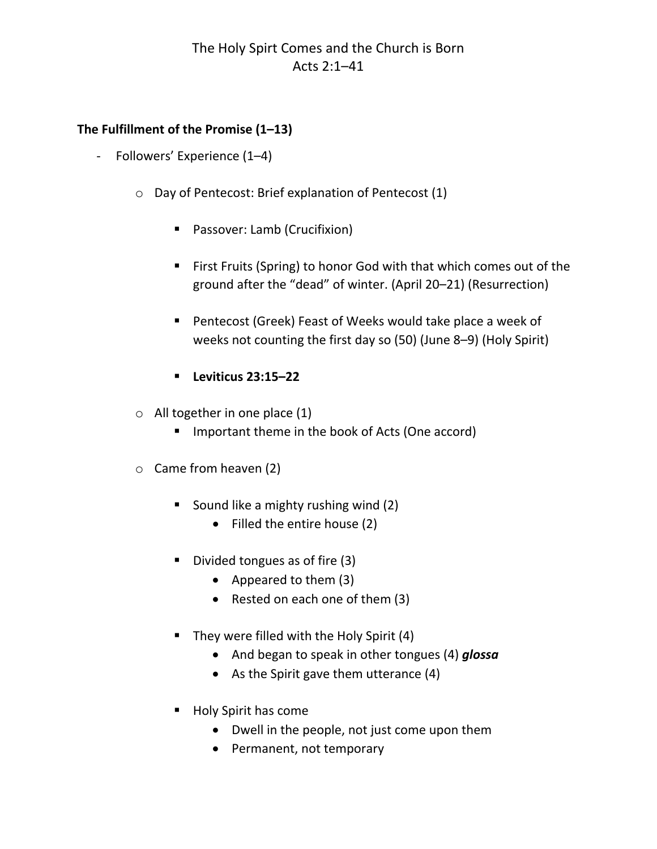# The Holy Spirt Comes and the Church is Born Acts 2:1–41

### **The Fulfillment of the Promise (1–13)**

- ‐ Followers' Experience (1–4)
	- o Day of Pentecost: Brief explanation of Pentecost (1)
		- **Passover: Lamb (Crucifixion)**
		- First Fruits (Spring) to honor God with that which comes out of the ground after the "dead" of winter. (April 20–21) (Resurrection)
		- Pentecost (Greek) Feast of Weeks would take place a week of weeks not counting the first day so (50) (June 8–9) (Holy Spirit)
		- **Leviticus 23:15–22**
	- $\circ$  All together in one place (1)
		- Important theme in the book of Acts (One accord)
	- o Came from heaven (2)
		- Sound like a mighty rushing wind (2)
			- Filled the entire house (2)
		- Divided tongues as of fire (3)
			- Appeared to them (3)
			- Rested on each one of them (3)
		- They were filled with the Holy Spirit  $(4)$ 
			- And began to speak in other tongues (4) *glossa*
			- As the Spirit gave them utterance (4)
		- Holy Spirit has come
			- Dwell in the people, not just come upon them
			- Permanent, not temporary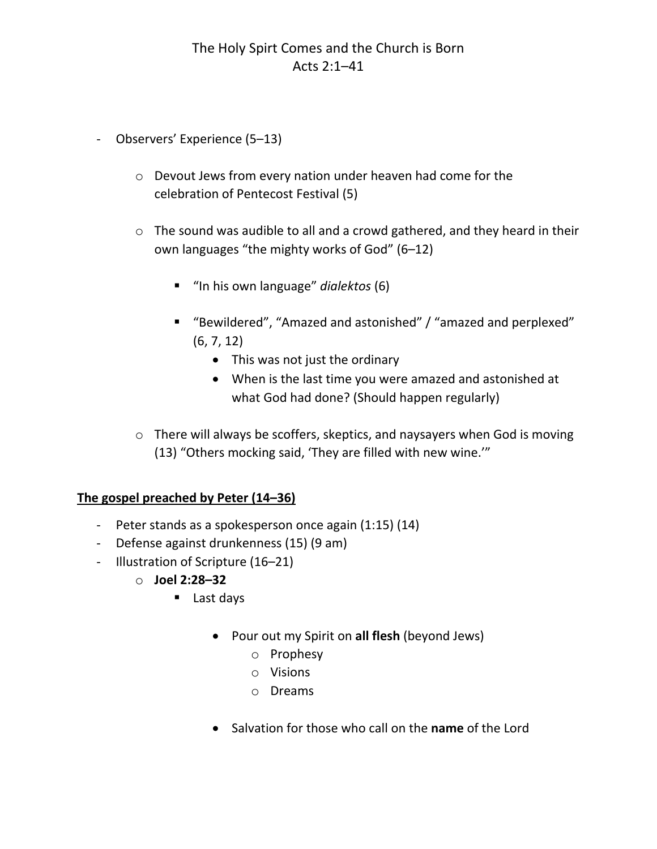- ‐ Observers' Experience (5–13)
	- o Devout Jews from every nation under heaven had come for the celebration of Pentecost Festival (5)
	- o The sound was audible to all and a crowd gathered, and they heard in their own languages "the mighty works of God" (6–12)
		- "In his own language" *dialektos* (6)
		- "Bewildered", "Amazed and astonished" / "amazed and perplexed" (6, 7, 12)
			- This was not just the ordinary
			- When is the last time you were amazed and astonished at what God had done? (Should happen regularly)
	- o There will always be scoffers, skeptics, and naysayers when God is moving (13) "Others mocking said, 'They are filled with new wine.'"

## **The gospel preached by Peter (14–36)**

- ‐ Peter stands as a spokesperson once again (1:15) (14)
- ‐ Defense against drunkenness (15) (9 am)
- ‐ Illustration of Scripture (16–21)
	- o **Joel 2:28–32** 
		- Last days
			- Pour out my Spirit on **all flesh** (beyond Jews)
				- o Prophesy
				- o Visions
				- o Dreams
			- Salvation for those who call on the **name** of the Lord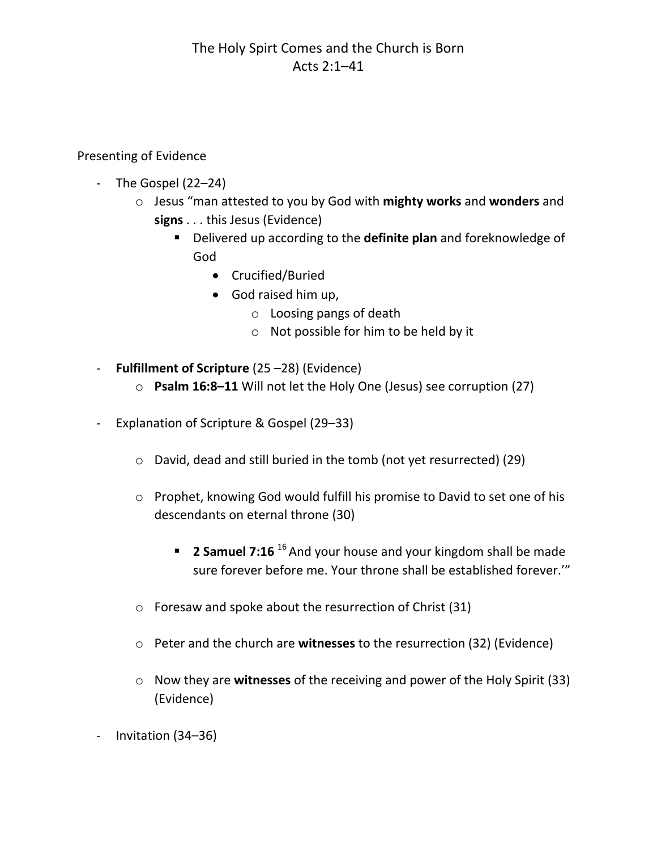# The Holy Spirt Comes and the Church is Born Acts 2:1–41

Presenting of Evidence

- ‐ The Gospel (22–24)
	- o Jesus "man attested to you by God with **mighty works** and **wonders** and **signs** . . . this Jesus (Evidence)
		- Delivered up according to the **definite plan** and foreknowledge of God
			- Crucified/Buried
			- God raised him up,
				- o Loosing pangs of death
				- o Not possible for him to be held by it
- ‐ **Fulfillment of Scripture** (25 –28) (Evidence)
	- o **Psalm 16:8–11** Will not let the Holy One (Jesus) see corruption (27)
- ‐ Explanation of Scripture & Gospel (29–33)
	- o David, dead and still buried in the tomb (not yet resurrected) (29)
	- o Prophet, knowing God would fulfill his promise to David to set one of his descendants on eternal throne (30)
		- **2 Samuel 7:16** <sup>16</sup> And your house and your kingdom shall be made sure forever before me. Your throne shall be established forever.'"
	- o Foresaw and spoke about the resurrection of Christ (31)
	- o Peter and the church are **witnesses** to the resurrection (32) (Evidence)
	- o Now they are **witnesses** of the receiving and power of the Holy Spirit (33) (Evidence)
- ‐ Invitation (34–36)